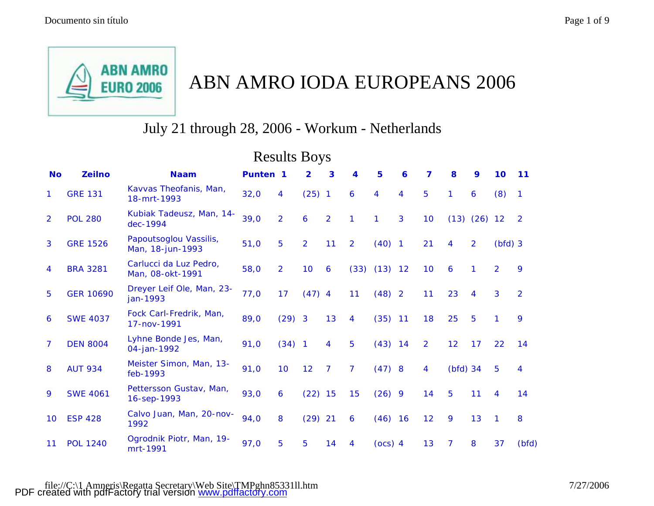

## ABN AMRO IODA EUROPEANS 2006

## July 21 through 28, 2006 - Workum - Netherlands

|                | <b>Results Boys</b> |                                            |                     |                |                |                |                         |           |             |                |            |                  |                |                |  |
|----------------|---------------------|--------------------------------------------|---------------------|----------------|----------------|----------------|-------------------------|-----------|-------------|----------------|------------|------------------|----------------|----------------|--|
| <b>No</b>      | <b>Zeilno</b>       | <b>Naam</b>                                | Punten <sub>1</sub> |                | $\overline{2}$ | 3              | $\overline{\mathbf{4}}$ | 5         | $\mathbf 6$ | $\overline{7}$ | 8          | 9                | 10             | 11             |  |
| 1.             | <b>GRE 131</b>      | Kavvas Theofanis, Man,<br>18-mrt-1993      | 32,0                | 4              | $(25)$ 1       |                | 6                       | 4         | 4           | 5              | 1          | 6                | (8)            | $\overline{1}$ |  |
| $\overline{2}$ | <b>POL 280</b>      | Kubiak Tadeusz, Man, 14-<br>dec-1994       | 39,0                | $\overline{2}$ | 6              | $\overline{2}$ | $\mathbf{1}$            | 1         | 3           | 10             |            | $(13)$ $(26)$ 12 |                | $\overline{2}$ |  |
| 3              | <b>GRE 1526</b>     | Papoutsoglou Vassilis,<br>Man, 18-jun-1993 | 51,0                | 5              | $\overline{2}$ | 11             | $\overline{2}$          | $(40)$ 1  |             | 21             | 4          | $\overline{2}$   | $(bfd)$ 3      |                |  |
| 4              | <b>BRA 3281</b>     | Carlucci da Luz Pedro,<br>Man, 08-okt-1991 | 58,0                | $\overline{2}$ | 10             | 6              | (33)                    | $(13)$ 12 |             | 10             | 6          | 1                | $\overline{2}$ | 9              |  |
| 5              | <b>GER 10690</b>    | Dreyer Leif Ole, Man, 23-<br>jan-1993      | 77,0                | 17             | $(47)$ 4       |                | 11                      | $(48)$ 2  |             | 11             | 23         | 4                | 3              | $\overline{2}$ |  |
| 6              | <b>SWE 4037</b>     | Fock Carl-Fredrik, Man,<br>17-nov-1991     | 89,0                | $(29)$ 3       |                | 13             | 4                       | $(35)$ 11 |             | 18             | 25         | 5                | 1              | 9              |  |
| 7              | <b>DEN 8004</b>     | Lyhne Bonde Jes, Man,<br>04-jan-1992       | 91,0                | $(34)$ 1       |                | 4              | 5                       | $(43)$ 14 |             | $\overline{2}$ | 12         | 17               | 22             | 14             |  |
| 8              | <b>AUT 934</b>      | Meister Simon, Man, 13-<br>feb-1993        | 91,0                | 10             | 12             | $\overline{7}$ | $\overline{7}$          | $(47)$ 8  |             | 4              | $(bfd)$ 34 |                  | 5              | 4              |  |
| 9              | <b>SWE 4061</b>     | Pettersson Gustav, Man,<br>16-sep-1993     | 93,0                | 6              | $(22)$ 15      |                | 15                      | $(26)$ 9  |             | 14             | 5          | 11               | 4              | 14             |  |
| 10             | <b>ESP 428</b>      | Calvo Juan, Man, 20-nov-<br>1992           | 94,0                | 8              | $(29)$ 21      |                | 6                       | $(46)$ 16 |             | 12             | 9          | 13               | 1              | 8              |  |
| 11             | <b>POL 1240</b>     | Ogrodnik Piotr, Man, 19-<br>mrt-1991       | 97,0                | 5              | 5              | 14             | 4                       | (ocs) 4   |             | 13             | 7          | 8                | 37             | (bfd)          |  |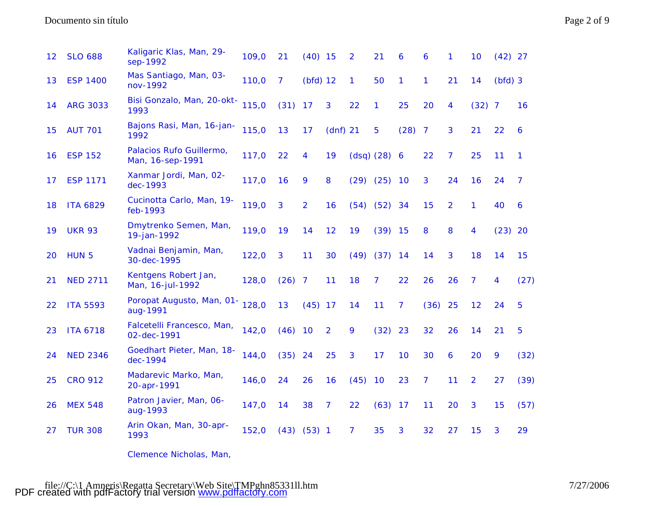| 12 | <b>SLO 688</b>   | Kaligaric Klas, Man, 29-<br>sep-1992         | 109,0 | 21           | $(40)$ 15      |                | 2            | 21               | 6    | 6              | 1              | 10             | $(42)$ 27 |                |
|----|------------------|----------------------------------------------|-------|--------------|----------------|----------------|--------------|------------------|------|----------------|----------------|----------------|-----------|----------------|
| 13 | <b>ESP 1400</b>  | Mas Santiago, Man, 03-<br>nov-1992           | 110,0 | $\mathbf{7}$ | $(bfd)$ 12     |                | $\mathbf{1}$ | 50               | 1    | 1              | 21             | 14             | $(bfd)$ 3 |                |
| 14 | <b>ARG 3033</b>  | Bisi Gonzalo, Man, 20-okt-<br>1993           | 115,0 | (31)         | 17             | 3              | 22           | 1                | 25   | 20             | 4              | $(32)$ 7       |           | 16             |
| 15 | <b>AUT 701</b>   | Bajons Rasi, Man, 16-jan-<br>1992            | 115,0 | 13           | 17             | $(dnf)$ 21     |              | 5                | (28) | $\overline{7}$ | 3              | 21             | 22        | 6              |
| 16 | <b>ESP 152</b>   | Palacios Rufo Guillermo,<br>Man, 16-sep-1991 | 117,0 | 22           | 4              | 19             |              | $(dsq)$ $(28)$ 6 |      | 22             | $\overline{7}$ | 25             | 11        | 1              |
| 17 | <b>ESP 1171</b>  | Xanmar Jordi, Man, 02-<br>dec-1993           | 117,0 | 16           | 9              | 8              |              | $(29)$ $(25)$ 10 |      | 3              | 24             | 16             | 24        | $\overline{7}$ |
| 18 | <b>ITA 6829</b>  | Cucinotta Carlo, Man, 19-<br>feb-1993        | 119,0 | $\mathbf{3}$ | $\overline{2}$ | 16             | (54)         | $(52)$ 34        |      | 15             | $\overline{2}$ | 1              | 40        | 6              |
| 19 | <b>UKR 93</b>    | Dmytrenko Semen, Man,<br>19-jan-1992         | 119,0 | 19           | 14             | 12             | 19           | $(39)$ 15        |      | 8              | 8              | 4              | $(23)$ 20 |                |
| 20 | HUN <sub>5</sub> | Vadnai Benjamin, Man,<br>30-dec-1995         | 122,0 | 3            | 11             | 30             | (49)         | $(37)$ 14        |      | 14             | 3              | 18             | 14        | 15             |
| 21 | <b>NED 2711</b>  | Kentgens Robert Jan,<br>Man, 16-jul-1992     | 128,0 | (26)         | $\overline{7}$ | 11             | 18           | $\overline{7}$   | 22   | 26             | 26             | 7              | 4         | (27)           |
| 22 | <b>ITA 5593</b>  | Poropat Augusto, Man, 01-<br>aug-1991        | 128,0 | 13           | $(45)$ 17      |                | 14           | 11               | 7    | (36)           | 25             | 12             | 24        | 5              |
| 23 | <b>ITA 6718</b>  | Falcetelli Francesco, Man,<br>02-dec-1991    | 142,0 | $(46)$ 10    |                | $\overline{2}$ | 9            | (32)             | 23   | 32             | 26             | 14             | 21        | 5              |
| 24 | <b>NED 2346</b>  | Goedhart Pieter, Man, 18-<br>dec-1994        | 144,0 | (35)         | 24             | 25             | 3            | 17               | 10   | 30             | 6              | 20             | 9         | (32)           |
| 25 | <b>CRO 912</b>   | Madarevic Marko, Man,<br>20-apr-1991         | 146,0 | 24           | 26             | 16             | (45)         | 10               | 23   | 7              | 11             | $\overline{2}$ | 27        | (39)           |
| 26 | <b>MEX 548</b>   | Patron Javier, Man, 06-<br>aug-1993          | 147,0 | 14           | 38             | 7              | 22           | (63)             | 17   | 11             | 20             | 3              | 15        | (57)           |
| 27 | <b>TUR 308</b>   | Arin Okan, Man, 30-apr-<br>1993              | 152,0 | (43)         | $(53)$ 1       |                | 7            | 35               | 3    | 32             | 27             | 15             | 3         | 29             |

Clemence Nicholas, Man,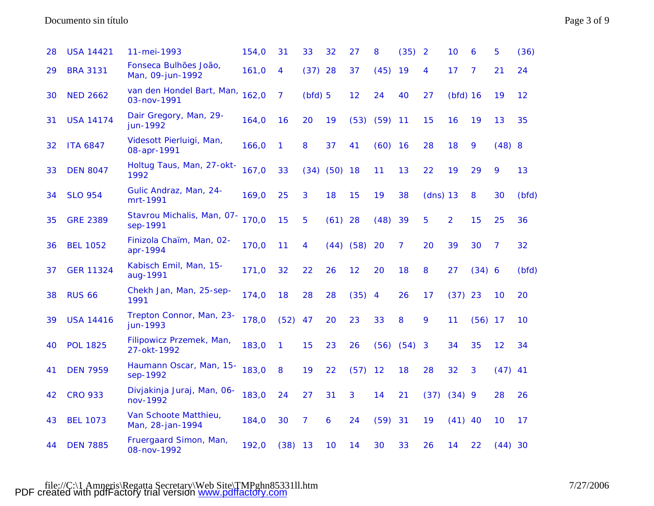Documento sin título Page 3 of 9

| 28 | <b>USA 14421</b> | 11-mei-1993                               | 154,0 | 31   | 33     | 32        | 27            | 8             | (35)           | $\overline{2}$ | 10             | 6              | 5              | (36)  |
|----|------------------|-------------------------------------------|-------|------|--------|-----------|---------------|---------------|----------------|----------------|----------------|----------------|----------------|-------|
| 29 | <b>BRA 3131</b>  | Fonseca Bulhões João,<br>Man, 09-jun-1992 | 161,0 | 4    | (37)   | 28        | 37            | (45)          | 19             | 4              | 17             | $\overline{7}$ | 21             | 24    |
| 30 | <b>NED 2662</b>  | van den Hondel Bart, Man,<br>03-nov-1991  | 162,0 | 7    | (bfd)5 |           | 12            | 24            | 40             | 27             | $(bfd)$ 16     |                | 19             | 12    |
| 31 | <b>USA 14174</b> | Dair Gregory, Man, 29-<br>jun-1992        | 164,0 | 16   | 20     | 19        | (53)          | $(59)$ 11     |                | 15             | 16             | 19             | 13             | 35    |
| 32 | <b>ITA 6847</b>  | Videsott Pierluigi, Man,<br>08-apr-1991   | 166,0 | 1    | 8      | 37        | 41            | (60)          | <b>16</b>      | 28             | 18             | 9              | $(48)$ 8       |       |
| 33 | <b>DEN 8047</b>  | Holtug Taus, Man, 27-okt-<br>1992         | 167,0 | 33   | (34)   | $(50)$ 18 |               | 11            | 13             | 22             | 19             | 29             | 9              | 13    |
| 34 | <b>SLO 954</b>   | Gulic Andraz, Man, 24-<br>mrt-1991        | 169,0 | 25   | 3      | 18        | 15            | 19            | 38             | $(dns)$ 13     |                | 8              | 30             | (bfd) |
| 35 | <b>GRE 2389</b>  | Stavrou Michalis, Man, 07-<br>sep-1991    | 170,0 | 15   | 5      | $(61)$ 28 |               | (48)          | 39             | 5              | $\overline{2}$ | 15             | 25             | 36    |
| 36 | <b>BEL 1052</b>  | Finizola Chaïm, Man, 02-<br>apr-1994      | 170,0 | 11   | 4      |           | $(44)$ $(58)$ | 20            | $\overline{7}$ | 20             | 39             | 30             | $\overline{7}$ | 32    |
| 37 | <b>GER 11324</b> | Kabisch Emil, Man, 15-<br>aug-1991        | 171,0 | 32   | 22     | 26        | 12            | 20            | 18             | 8              | 27             | (34) 6         |                | (bfd) |
| 38 | <b>RUS 66</b>    | Chekh Jan, Man, 25-sep-<br>1991           | 174,0 | 18   | 28     | 28        | $(35)$ 4      |               | 26             | 17             | (37)           | 23             | 10             | 20    |
| 39 | <b>USA 14416</b> | Trepton Connor, Man, 23-<br>jun-1993      | 178,0 | (52) | 47     | 20        | 23            | 33            | 8              | 9              | 11             | $(56)$ 17      |                | 10    |
| 40 | <b>POL 1825</b>  | Filipowicz Przemek, Man,<br>27-okt-1992   | 183,0 | 1    | 15     | 23        | 26            | $(56)$ $(54)$ |                | 3              | 34             | 35             | 12             | 34    |
| 41 | <b>DEN 7959</b>  | Haumann Oscar, Man, 15-<br>sep-1992       | 183,0 | 8    | 19     | 22        | (57)          | 12            | 18             | 28             | 32             | 3              | $(47)$ 41      |       |
| 42 | <b>CRO 933</b>   | Divjakinja Juraj, Man, 06-<br>nov-1992    | 183,0 | 24   | 27     | 31        | 3             | 14            | 21             | (37)           | (34)9          |                | 28             | 26    |
| 43 | <b>BEL 1073</b>  | Van Schoote Matthieu,<br>Man, 28-jan-1994 | 184,0 | 30   | 7      | 6         | 24            | (59)          | 31             | 19             | (41)           | 40             | 10             | 17    |
| 44 | <b>DEN 7885</b>  | Fruergaard Simon, Man,<br>08-nov-1992     | 192,0 | (38) | 13     | 10        | 14            | 30            | 33             | 26             | 14             | 22             | $(44)$ 30      |       |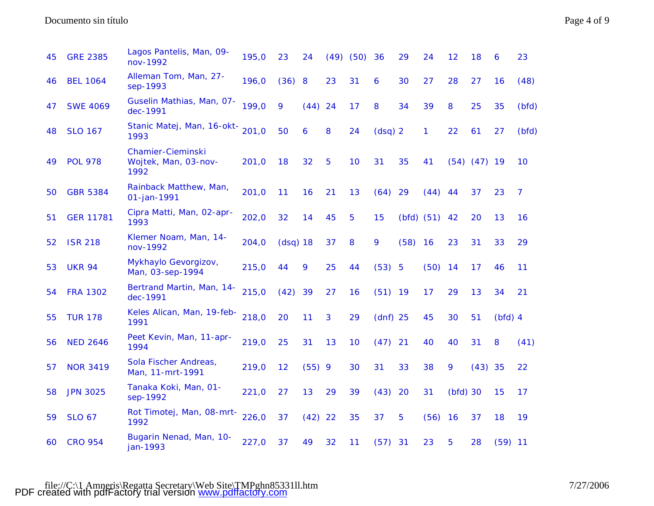| 45 | <b>GRE 2385</b>  | Lagos Pantelis, Man, 09-<br>nov-1992                     | 195,0 | 23         | 24        |    | $(49)$ $(50)$ | 36         | 29   | 24                | 12        | 18               | 6         | 23             |
|----|------------------|----------------------------------------------------------|-------|------------|-----------|----|---------------|------------|------|-------------------|-----------|------------------|-----------|----------------|
| 46 | <b>BEL 1064</b>  | Alleman Tom, Man, 27-<br>sep-1993                        | 196,0 | (36)       | 8         | 23 | 31            | 6          | 30   | 27                | 28        | 27               | 16        | (48)           |
| 47 | <b>SWE 4069</b>  | Guselin Mathias, Man, 07-<br>dec-1991                    | 199,0 | 9          | (44)      | 24 | 17            | 8          | 34   | 39                | 8         | 25               | 35        | (bfd)          |
| 48 | <b>SLO 167</b>   | Stanic Matej, Man, 16-okt-<br>1993                       | 201,0 | 50         | 6         | 8  | 24            | $(dsq)$ 2  |      | 1                 | 22        | 61               | 27        | (bfd)          |
| 49 | <b>POL 978</b>   | <b>Chamier-Cieminski</b><br>Wojtek, Man, 03-nov-<br>1992 | 201,0 | 18         | 32        | 5  | 10            | 31         | 35   | 41                |           | $(54)$ $(47)$ 19 |           | 10             |
| 50 | <b>GBR 5384</b>  | Rainback Matthew, Man,<br>01-jan-1991                    | 201,0 | 11         | 16        | 21 | 13            | (64)       | 29   | (44)              | 44        | 37               | 23        | $\overline{7}$ |
| 51 | <b>GER 11781</b> | Cipra Matti, Man, 02-apr-<br>1993                        | 202,0 | 32         | 14        | 45 | 5             | 15         |      | $(bfd)$ $(51)$ 42 |           | 20               | 13        | 16             |
| 52 | <b>ISR 218</b>   | Klemer Noam, Man, 14-<br>nov-1992                        | 204,0 | $(dsq)$ 18 |           | 37 | 8             | 9          | (58) | 16                | 23        | 31               | 33        | 29             |
| 53 | <b>UKR 94</b>    | Mykhaylo Gevorgizov,<br>Man, 03-sep-1994                 | 215,0 | 44         | 9         | 25 | 44            | (53) 5     |      | (50)              | 14        | 17               | 46        | 11             |
| 54 | <b>FRA 1302</b>  | <b>Bertrand Martin, Man, 14-</b><br>dec-1991             | 215,0 | (42)       | 39        | 27 | 16            | $(51)$ 19  |      | 17                | 29        | 13               | 34        | 21             |
| 55 | <b>TUR 178</b>   | Keles Alican, Man, 19-feb-<br>1991                       | 218,0 | 20         | 11        | 3  | 29            | $(dnf)$ 25 |      | 45                | 30        | 51               | $(bfd)$ 4 |                |
| 56 | <b>NED 2646</b>  | Peet Kevin, Man, 11-apr-<br>1994                         | 219,0 | 25         | 31        | 13 | 10            | (47)       | 21   | 40                | 40        | 31               | 8         | (41)           |
| 57 | <b>NOR 3419</b>  | Sola Fischer Andreas,<br>Man, 11-mrt-1991                | 219,0 | 12         | $(55)$ 9  |    | 30            | 31         | 33   | 38                | 9         | $(43)$ 35        |           | 22             |
| 58 | <b>JPN 3025</b>  | Tanaka Koki, Man, 01-<br>sep-1992                        | 221,0 | 27         | 13        | 29 | 39            | (43)       | 20   | 31                | (bfd)30   |                  | 15        | 17             |
| 59 | <b>SLO 67</b>    | Rot Timotej, Man, 08-mrt-<br>1992                        | 226,0 | 37         | $(42)$ 22 |    | 35            | 37         | 5    | (56)              | <b>16</b> | 37               | 18        | 19             |
| 60 | <b>CRO 954</b>   | Bugarin Nenad, Man, 10-<br>jan-1993                      | 227,0 | 37         | 49        | 32 | 11            | (57)       | 31   | 23                | 5         | 28               | $(59)$ 11 |                |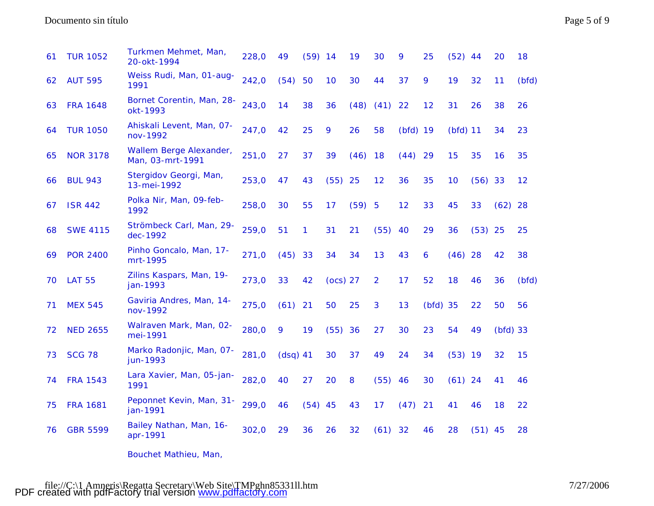## Documento sin título Page 5 of 9

| 61 | <b>TUR 1052</b> | Turkmen Mehmet, Man,<br>20-okt-1994         | 228,0 | 49        | (59)      | 14       | 19     | 30             | 9          | 25         | (52)       | -44       | 20         | 18    |
|----|-----------------|---------------------------------------------|-------|-----------|-----------|----------|--------|----------------|------------|------------|------------|-----------|------------|-------|
| 62 | <b>AUT 595</b>  | Weiss Rudi, Man, 01-aug-<br>1991            | 242,0 | (54)      | 50        | 10       | 30     | 44             | 37         | 9          | 19         | 32        | 11         | (bfd) |
| 63 | <b>FRA 1648</b> | Bornet Corentin, Man, 28-<br>okt-1993       | 243,0 | 14        | 38        | 36       | (48)   | (41)           | 22         | 12         | 31         | 26        | 38         | 26    |
| 64 | <b>TUR 1050</b> | Ahiskali Levent, Man, 07-<br>nov-1992       | 247,0 | 42        | 25        | 9        | 26     | 58             | $(bfd)$ 19 |            | $(bfd)$ 11 |           | 34         | 23    |
| 65 | <b>NOR 3178</b> | Wallem Berge Alexander,<br>Man, 03-mrt-1991 | 251,0 | 27        | 37        | 39       | (46)   | 18             | (44)       | 29         | 15         | 35        | 16         | 35    |
| 66 | <b>BUL 943</b>  | Stergidov Georgi, Man,<br>13-mei-1992       | 253,0 | 47        | 43        | (55)     | 25     | 12             | 36         | 35         | 10         | $(56)$ 33 |            | 12    |
| 67 | <b>ISR 442</b>  | Polka Nir, Man, 09-feb-<br>1992             | 258,0 | 30        | 55        | 17       | (59) 5 |                | 12         | 33         | 45         | 33        | $(62)$ 28  |       |
| 68 | <b>SWE 4115</b> | Strömbeck Carl, Man, 29-<br>dec-1992        | 259,0 | 51        | 1         | 31       | 21     | (55)           | 40         | 29         | 36         | $(53)$ 25 |            | 25    |
| 69 | <b>POR 2400</b> | Pinho Goncalo, Man, 17-<br>mrt-1995         | 271,0 | (45)      | 33        | 34       | 34     | 13             | 43         | 6          | $(46)$ 28  |           | 42         | 38    |
| 70 | <b>LAT 55</b>   | Zilins Kaspars, Man, 19-<br>jan-1993        | 273,0 | 33        | 42        | (ocs) 27 |        | $\overline{2}$ | 17         | 52         | 18         | 46        | 36         | (bfd) |
| 71 | <b>MEX 545</b>  | Gaviria Andres, Man, 14-<br>nov-1992        | 275,0 | $(61)$ 21 |           | 50       | 25     | 3              | 13         | $(bfd)$ 35 |            | 22        | 50         | 56    |
| 72 | <b>NED 2655</b> | Walraven Mark, Man, 02-<br>mei-1991         | 280,0 | 9         | 19        | (55)     | 36     | 27             | 30         | 23         | 54         | 49        | $(bfd)$ 33 |       |
| 73 | <b>SCG 78</b>   | Marko Radonjic, Man, 07-<br>jun-1993        | 281,0 | (dsq) 41  |           | 30       | 37     | 49             | 24         | 34         | $(53)$ 19  |           | 32         | 15    |
| 74 | <b>FRA 1543</b> | Lara Xavier, Man, 05-jan-<br>1991           | 282,0 | 40        | 27        | 20       | 8      | (55)           | 46         | 30         | $(61)$ 24  |           | 41         | 46    |
| 75 | <b>FRA 1681</b> | Peponnet Kevin, Man, 31-<br>jan-1991        | 299,0 | 46        | $(54)$ 45 |          | 43     | 17             | (47)       | 21         | 41         | 46        | 18         | 22    |
| 76 | <b>GBR 5599</b> | Bailey Nathan, Man, 16-<br>apr-1991         | 302,0 | 29        | 36        | 26       | 32     | (61)           | 32         | 46         | 28         | $(51)$ 45 |            | 28    |
|    |                 |                                             |       |           |           |          |        |                |            |            |            |           |            |       |

Bouchet Mathieu, Man,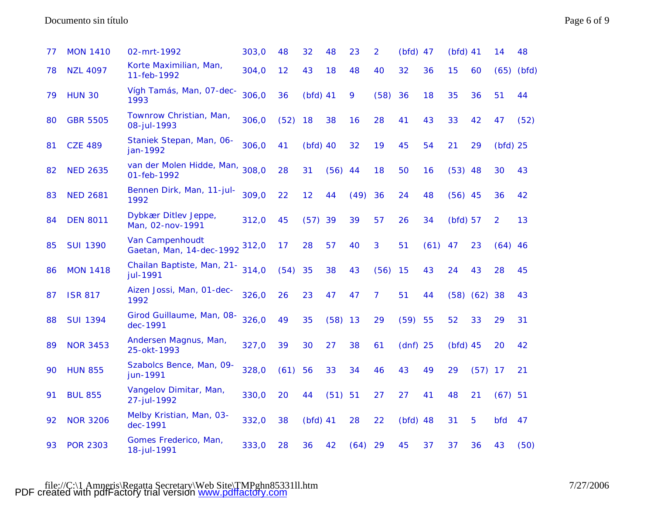Documento sin título Page 6 of 9

| 77 | <b>MON 1410</b> | 02-mrt-1992                                        | 303,0 | 48   | 32         | 48   | 23   | $\overline{2}$ | $(bfd)$ 47 |      | $(bfd)$ 41 |           | 14             | 48    |
|----|-----------------|----------------------------------------------------|-------|------|------------|------|------|----------------|------------|------|------------|-----------|----------------|-------|
| 78 | <b>NZL 4097</b> | Korte Maximilian, Man,<br>11-feb-1992              | 304,0 | 12   | 43         | 18   | 48   | 40             | 32         | 36   | 15         | 60        | (65)           | (bfd) |
| 79 | <b>HUN 30</b>   | Vígh Tamás, Man, 07-dec-<br>1993                   | 306,0 | 36   | $(bfd)$ 41 |      | 9    | (58)           | 36         | 18   | 35         | 36        | 51             | 44    |
| 80 | <b>GBR 5505</b> | Townrow Christian, Man,<br>08-jul-1993             | 306,0 | (52) | 18         | 38   | 16   | 28             | 41         | 43   | 33         | 42        | 47             | (52)  |
| 81 | <b>CZE 489</b>  | Staniek Stepan, Man, 06-<br>jan-1992               | 306,0 | 41   | $(bfd)$ 40 |      | 32   | 19             | 45         | 54   | 21         | 29        | $(bfd)$ 25     |       |
| 82 | <b>NED 2635</b> | van der Molen Hidde, Man,<br>01-feb-1992           | 308,0 | 28   | 31         | (56) | 44   | 18             | 50         | 16   | $(53)$ 48  |           | 30             | 43    |
| 83 | <b>NED 2681</b> | Bennen Dirk, Man, 11-jul-<br>1992                  | 309,0 | 22   | 12         | 44   | (49) | 36             | 24         | 48   | $(56)$ 45  |           | 36             | 42    |
| 84 | <b>DEN 8011</b> | Dybkær Ditlev Jeppe,<br>Man, 02-nov-1991           | 312,0 | 45   | (57)       | 39   | 39   | 57             | 26         | 34   | $(bfd)$ 57 |           | $\overline{2}$ | 13    |
| 85 | <b>SUI 1390</b> | <b>Van Campenhoudt</b><br>Gaetan, Man, 14-dec-1992 | 312,0 | 17   | 28         | 57   | 40   | 3              | 51         | (61) | 47         | 23        | $(64)$ 46      |       |
| 86 | <b>MON 1418</b> | Chailan Baptiste, Man, 21-<br>jul-1991             | 314,0 | (54) | 35         | 38   | 43   | (56)           | 15         | 43   | 24         | 43        | 28             | 45    |
| 87 | <b>ISR 817</b>  | Aizen Jossi, Man, 01-dec-<br>1992                  | 326,0 | 26   | 23         | 47   | 47   | $\overline{7}$ | 51         | 44   |            | (58) (62) | 38             | 43    |
| 88 | <b>SUI 1394</b> | Girod Guillaume, Man, 08-<br>dec-1991              | 326,0 | 49   | 35         | (58) | 13   | 29             | (59)       | 55   | 52         | 33        | 29             | 31    |
| 89 | <b>NOR 3453</b> | Andersen Magnus, Man,<br>25-okt-1993               | 327,0 | 39   | 30         | 27   | 38   | 61             | $(dnf)$ 25 |      | $(bfd)$ 45 |           | 20             | 42    |
| 90 | <b>HUN 855</b>  | Szabolcs Bence, Man, 09-<br>jun-1991               | 328,0 | (61) | 56         | 33   | 34   | 46             | 43         | 49   | 29         | $(57)$ 17 |                | 21    |
| 91 | <b>BUL 855</b>  | Vangelov Dimitar, Man,<br>27-jul-1992              | 330,0 | 20   | 44         | (51) | 51   | 27             | 27         | 41   | 48         | 21        | $(67)$ 51      |       |
| 92 | <b>NOR 3206</b> | Melby Kristian, Man, 03-<br>dec-1991               | 332,0 | 38   | $(bfd)$ 41 |      | 28   | 22             | $(bfd)$ 48 |      | 31         | 5         | <b>bfd</b>     | 47    |
| 93 | <b>POR 2303</b> | Gomes Frederico, Man,<br>18-jul-1991               | 333,0 | 28   | 36         | 42   | (64) | 29             | 45         | 37   | 37         | 36        | 43             | (50)  |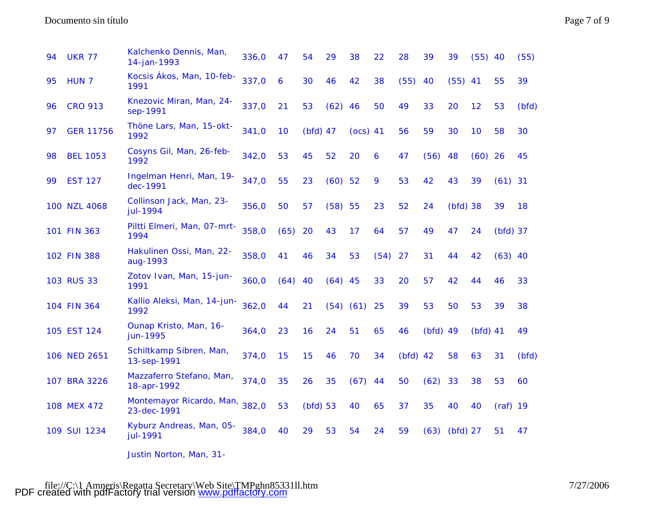## Documento sin título Page 7 of 9

| 94 | <b>UKR 77</b>    | Kalchenko Dennis, Man,<br>14-jan-1993   | 336,0 | 47   | 54         | 29            | 38         | 22   | 28         | 39         | 39         | $(55)$ 40  |            | (55)  |
|----|------------------|-----------------------------------------|-------|------|------------|---------------|------------|------|------------|------------|------------|------------|------------|-------|
| 95 | HUN <sub>7</sub> | Kocsis Ákos, Man, 10-feb-<br>1991       | 337,0 | 6    | 30         | 46            | 42         | 38   | (55)       | 40         | $(55)$ 41  |            | 55         | 39    |
| 96 | <b>CRO 913</b>   | Knezovic Miran, Man, 24-<br>sep-1991    | 337,0 | 21   | 53         | $(62)$ 46     |            | 50   | 49         | 33         | 20         | 12         | 53         | (bfd) |
| 97 | <b>GER 11756</b> | Thöne Lars, Man, 15-okt-<br>1992        | 341,0 | 10   | $(bfd)$ 47 |               | $(ocs)$ 41 |      | 56         | 59         | 30         | 10         | 58         | 30    |
| 98 | <b>BEL 1053</b>  | Cosyns Gil, Man, 26-feb-<br>1992        | 342,0 | 53   | 45         | 52            | 20         | 6    | 47         | (56)       | 48         | $(60)$ 26  |            | 45    |
| 99 | <b>EST 127</b>   | Ingelman Henri, Man, 19-<br>dec-1991    | 347,0 | 55   | 23         | $(60)$ 52     |            | 9    | 53         | 42         | 43         | 39         | $(61)$ 31  |       |
|    | 100 NZL 4068     | Collinson Jack, Man, 23-<br>jul-1994    | 356,0 | 50   | 57         | (58) 55       |            | 23   | 52         | 24         | $(bfd)$ 38 |            | 39         | 18    |
|    | 101 FIN 363      | Piltti Elmeri, Man, 07-mrt-<br>1994     | 358,0 | (65) | 20         | 43            | 17         | 64   | 57         | 49         | 47         | 24         | $(bfd)$ 37 |       |
|    | 102 FIN 388      | Hakulinen Ossi, Man, 22-<br>aug-1993    | 358,0 | 41   | 46         | 34            | 53         | (54) | 27         | 31         | 44         | 42         | $(63)$ 40  |       |
|    | 103 RUS 33       | Zotov Ivan, Man, 15-jun-<br>1991        | 360,0 | (64) | 40         | $(64)$ 45     |            | 33   | 20         | 57         | 42         | 44         | 46         | 33    |
|    | 104 FIN 364      | Kallio Aleksi, Man, 14-jun-<br>1992     | 362,0 | 44   | 21         | $(54)$ $(61)$ |            | 25   | 39         | 53         | 50         | 53         | 39         | 38    |
|    | 105 EST 124      | Ounap Kristo, Man, 16-<br>jun-1995      | 364,0 | 23   | 16         | 24            | 51         | 65   | 46         | $(bfd)$ 49 |            | $(bfd)$ 41 |            | 49    |
|    | 106 NED 2651     | Schiltkamp Sibren, Man,<br>13-sep-1991  | 374,0 | 15   | 15         | 46            | 70         | 34   | $(bfd)$ 42 |            | 58         | 63         | 31         | (bfd) |
|    | 107 BRA 3226     | Mazzaferro Stefano, Man,<br>18-apr-1992 | 374,0 | 35   | 26         | 35            | (67)       | 44   | 50         | (62)       | 33         | 38         | 53         | 60    |
|    | 108 MEX 472      | Montemayor Ricardo, Man,<br>23-dec-1991 | 382,0 | 53   | $(bfd)$ 53 |               | 40         | 65   | 37         | 35         | 40         | 40         | $(raf)$ 19 |       |
|    | 109 SUI 1234     | Kyburz Andreas, Man, 05-<br>jul-1991    | 384,0 | 40   | 29         | 53            | 54         | 24   | 59         | (63)       | $(bfd)$ 27 |            | 51         | 47    |
|    |                  |                                         |       |      |            |               |            |      |            |            |            |            |            |       |

Justin Norton, Man, 31-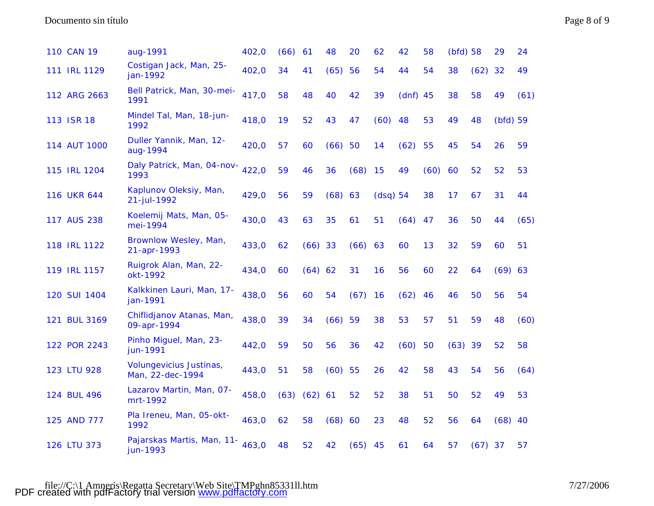| 110 CAN 19   | aug-1991                                           | 402,0 | (66) | 61        | 48        | 20        | 62       | 42         | 58   | $(bfd)$ 58 |           | 29         | 24   |
|--------------|----------------------------------------------------|-------|------|-----------|-----------|-----------|----------|------------|------|------------|-----------|------------|------|
| 111 IRL 1129 | Costigan Jack, Man, 25-<br>jan-1992                | 402,0 | 34   | 41        | (65)      | 56        | 54       | 44         | 54   | 38         | $(62)$ 32 |            | 49   |
| 112 ARG 2663 | Bell Patrick, Man, 30-mei-<br>1991                 | 417,0 | 58   | 48        | 40        | 42        | 39       | $(dnf)$ 45 |      | 38         | 58        | 49         | (61) |
| 113 ISR 18   | Mindel Tal, Man, 18-jun-<br>1992                   | 418,0 | 19   | 52        | 43        | 47        | (60)     | 48         | 53   | 49         | 48        | $(bfd)$ 59 |      |
| 114 AUT 1000 | Duller Yannik, Man, 12-<br>aug-1994                | 420,0 | 57   | 60        | (66)      | 50        | 14       | (62)       | 55   | 45         | 54        | 26         | 59   |
| 115 IRL 1204 | Daly Patrick, Man, 04-nov-<br>1993                 | 422,0 | 59   | 46        | 36        | (68)      | 15       | 49         | (60) | 60         | 52        | 52         | 53   |
| 116 UKR 644  | Kaplunov Oleksiy, Man,<br>21-jul-1992              | 429,0 | 56   | 59        | $(68)$ 63 |           | (dsq) 54 |            | 38   | 17         | 67        | 31         | 44   |
| 117 AUS 238  | Koelemij Mats, Man, 05-<br>mei-1994                | 430,0 | 43   | 63        | 35        | 61        | 51       | (64)       | 47   | 36         | 50        | 44         | (65) |
| 118 IRL 1122 | Brownlow Wesley, Man,<br>21-apr-1993               | 433,0 | 62   | $(66)$ 33 |           | (66) 63   |          | 60         | 13   | 32         | 59        | 60         | 51   |
| 119 IRL 1157 | Ruigrok Alan, Man, 22-<br>okt-1992                 | 434,0 | 60   | (64) 62   |           | 31        | 16       | 56         | 60   | 22         | 64        | (69) 63    |      |
| 120 SUI 1404 | Kalkkinen Lauri, Man, 17-<br>jan-1991              | 438,0 | 56   | 60        | 54        | (67)      | 16       | (62)       | 46   | 46         | 50        | 56         | 54   |
| 121 BUL 3169 | Chiflidjanov Atanas, Man,<br>09-apr-1994           | 438,0 | 39   | 34        | $(66)$ 59 |           | 38       | 53         | 57   | 51         | 59        | 48         | (60) |
| 122 POR 2243 | Pinho Miguel, Man, 23-<br>jun-1991                 | 442,0 | 59   | 50        | 56        | 36        | 42       | (60)       | 50   | (63)       | 39        | 52         | 58   |
| 123 LTU 928  | <b>Volungevicius Justinas,</b><br>Man, 22-dec-1994 | 443,0 | 51   | 58        | $(60)$ 55 |           | 26       | 42         | 58   | 43         | 54        | 56         | (64) |
| 124 BUL 496  | Lazarov Martin, Man, 07-<br>mrt-1992               | 458,0 | (63) | (62)      | 61        | 52        | 52       | 38         | 51   | 50         | 52        | 49         | 53   |
| 125 AND 777  | Pla Ireneu, Man, 05-okt-<br>1992                   | 463,0 | 62   | 58        | (68) 60   |           | 23       | 48         | 52   | 56         | 64        | $(68)$ 40  |      |
| 126 LTU 373  | Pajarskas Martis, Man, 11-<br>jun-1993             | 463,0 | 48   | 52        | 42        | $(65)$ 45 |          | 61         | 64   | 57         | $(67)$ 37 |            | 57   |